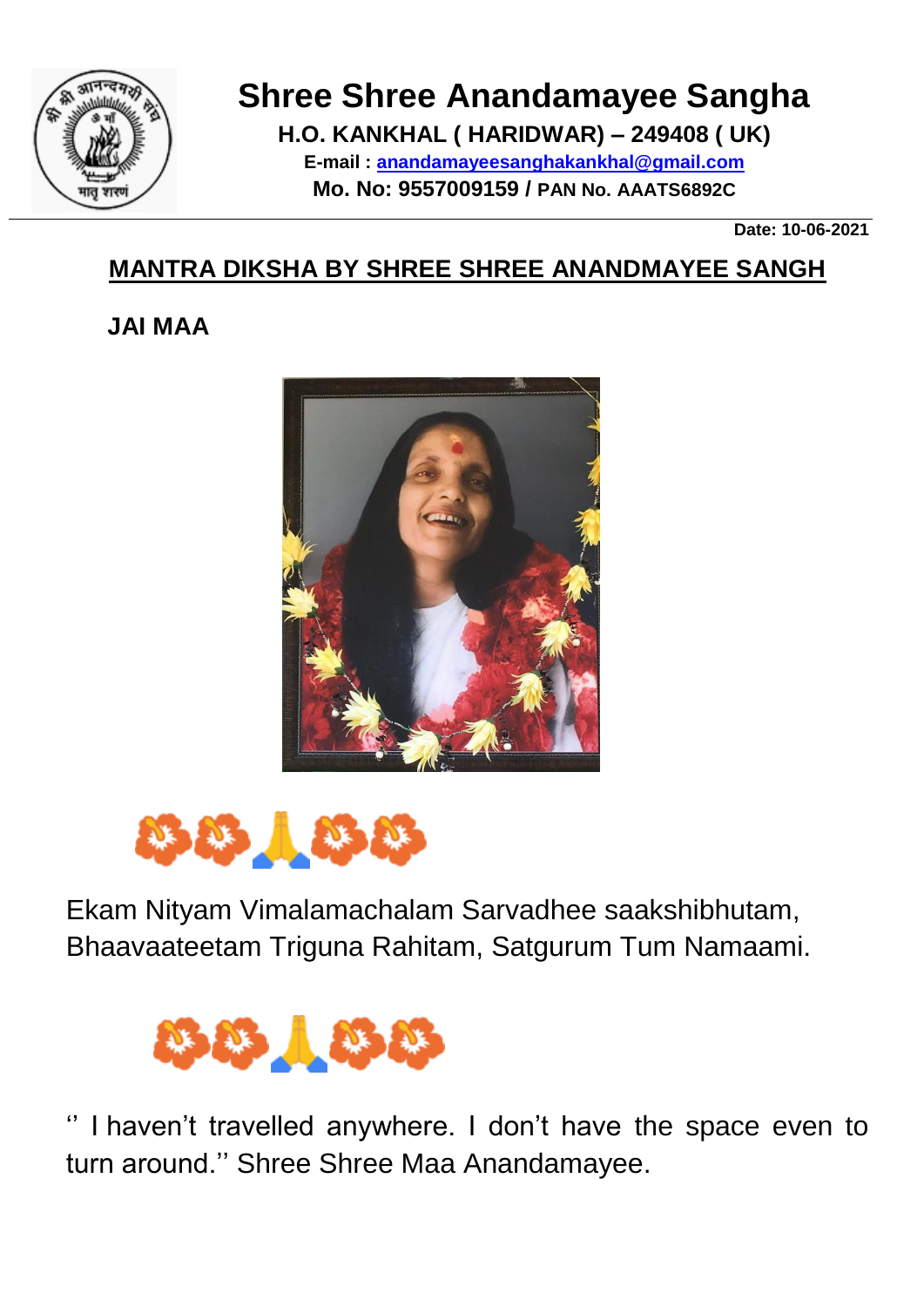

## **Shree Shree Anandamayee Sangha**

**H.O. KANKHAL ( HARIDWAR) – 249408 ( UK) E-mail : [anandamayeesanghakankhal@gmail.com](mailto:anandamayeesanghakankhal@gmail.com) Mo. No: 9557009159 / PAN No. AAATS6892C**

**Date: 10-06-2021**

## **MANTRA DIKSHA BY SHREE SHREE ANANDMAYEE SANGH**

## **JAI MAA**





Ekam Nityam Vimalamachalam Sarvadhee saakshibhutam, Bhaavaateetam Triguna Rahitam, Satgurum Tum Namaami.



I haven't travelled anywhere. I don't have the space even to turn around.'' Shree Shree Maa Anandamayee.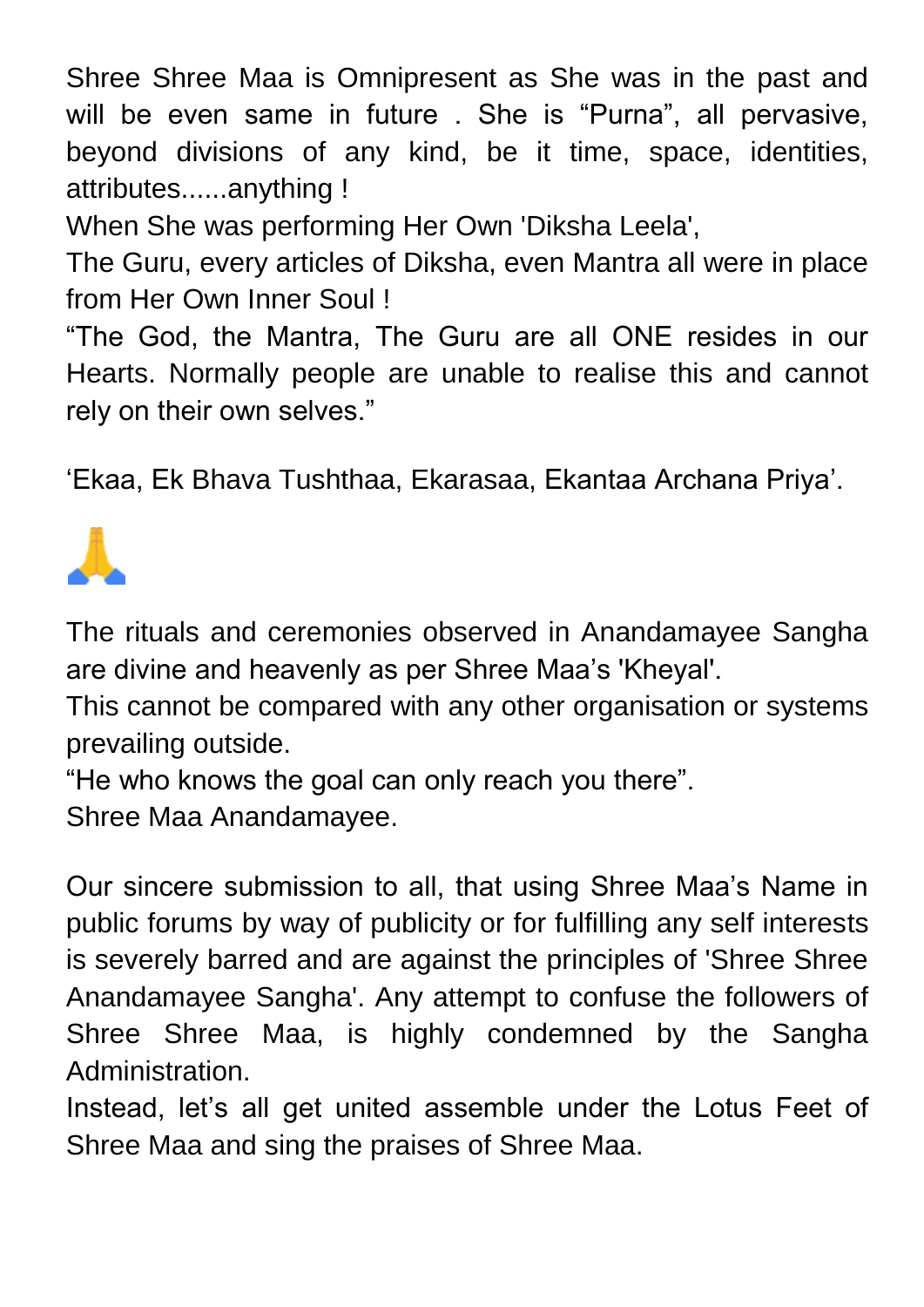Shree Shree Maa is Omnipresent as She was in the past and will be even same in future . She is "Purna", all pervasive, beyond divisions of any kind, be it time, space, identities, attributes......anything !

When She was performing Her Own 'Diksha Leela',

The Guru, every articles of Diksha, even Mantra all were in place from Her Own Inner Soul !

"The God, the Mantra, The Guru are all ONE resides in our Hearts. Normally people are unable to realise this and cannot rely on their own selves."

'Ekaa, Ek Bhava Tushthaa, Ekarasaa, Ekantaa Archana Priya'.



The rituals and ceremonies observed in Anandamayee Sangha are divine and heavenly as per Shree Maa's 'Kheyal'.

This cannot be compared with any other organisation or systems prevailing outside.

"He who knows the goal can only reach you there".

Shree Maa Anandamayee.

Our sincere submission to all, that using Shree Maa's Name in public forums by way of publicity or for fulfilling any self interests is severely barred and are against the principles of 'Shree Shree Anandamayee Sangha'. Any attempt to confuse the followers of Shree Shree Maa, is highly condemned by the Sangha Administration.

Instead, let's all get united assemble under the Lotus Feet of Shree Maa and sing the praises of Shree Maa.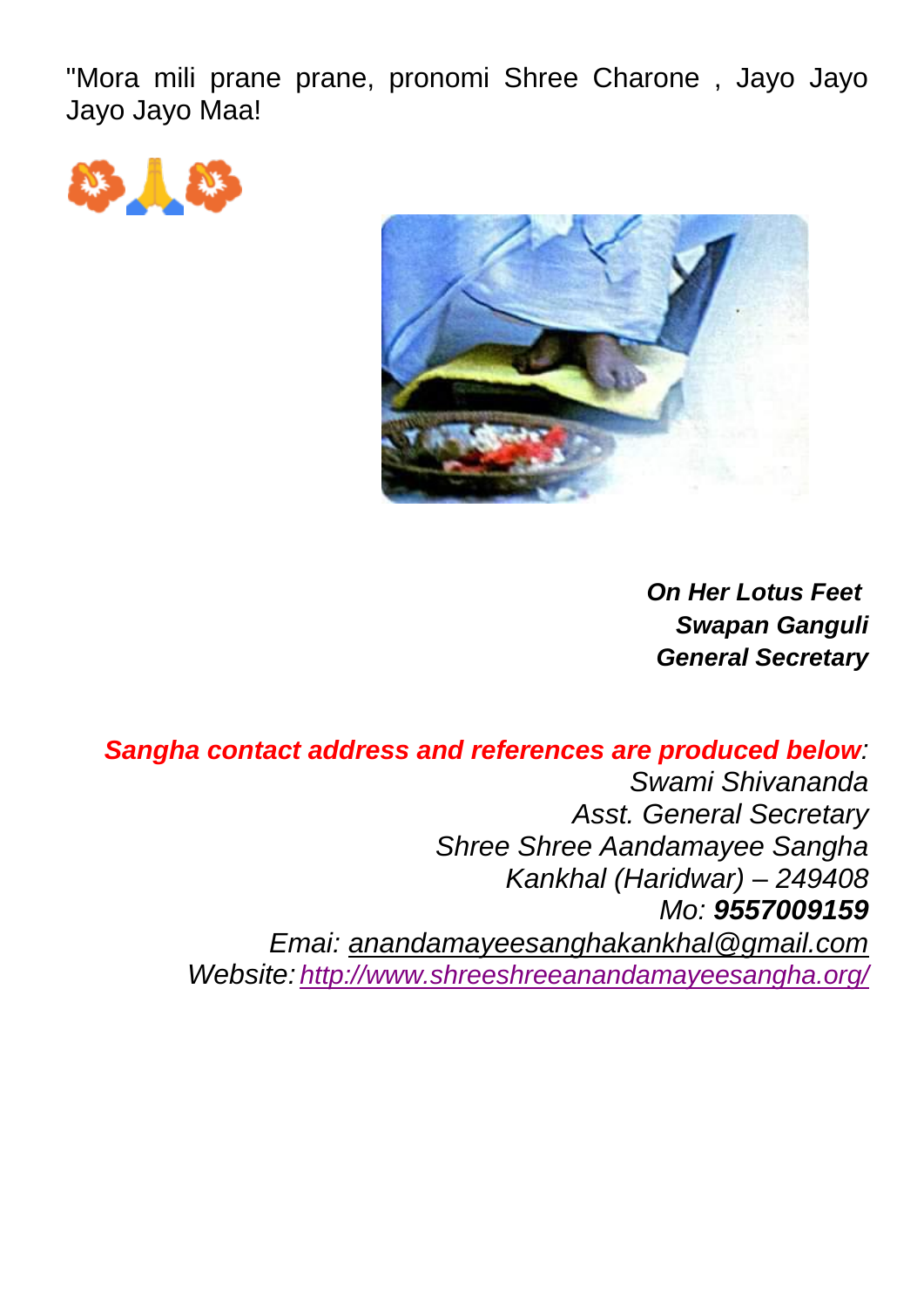"Mora mili prane prane, pronomi Shree Charone , Jayo Jayo Jayo Jayo Maa!





*On Her Lotus Feet Swapan Ganguli General Secretary*

*Sangha contact address and references are produced below: Swami Shivananda Asst. General Secretary Shree Shree Aandamayee Sangha Kankhal (Haridwar) – 249408 Mo: 9557009159 Emai: [anandamayeesanghakankhal@gmail.com](mailto:anandamayeesanghakankhal@gmail.com) Website: <http://www.shreeshreeanandamayeesangha.org/>*